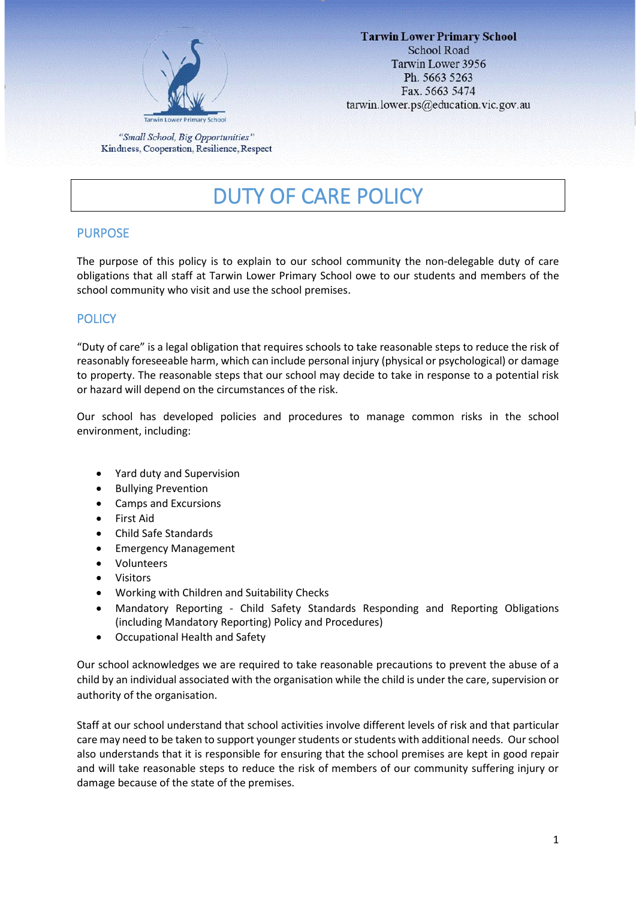

"Small School, Big Opportunities" Kindness, Cooperation, Resilience, Respect

# DUTY OF CARE POLICY

## PURPOSE

The purpose of this policy is to explain to our school community the non-delegable duty of care obligations that all staff at Tarwin Lower Primary School owe to our students and members of the school community who visit and use the school premises.

# **POLICY**

"Duty of care" is a legal obligation that requires schools to take reasonable steps to reduce the risk of reasonably foreseeable harm, which can include personal injury (physical or psychological) or damage to property. The reasonable steps that our school may decide to take in response to a potential risk or hazard will depend on the circumstances of the risk.

Our school has developed policies and procedures to manage common risks in the school environment, including:

- Yard duty and Supervision
- Bullying Prevention
- Camps and Excursions
- First Aid
- Child Safe Standards
- Emergency Management
- Volunteers
- Visitors
- Working with Children and Suitability Checks
- Mandatory Reporting Child Safety Standards Responding and Reporting Obligations (including Mandatory Reporting) Policy and Procedures)
- Occupational Health and Safety

Our school acknowledges we are required to take reasonable precautions to prevent the abuse of a child by an individual associated with the organisation while the child is under the care, supervision or authority of the organisation.

Staff at our school understand that school activities involve different levels of risk and that particular care may need to be taken to support younger students or students with additional needs. Our school also understands that it is responsible for ensuring that the school premises are kept in good repair and will take reasonable steps to reduce the risk of members of our community suffering injury or damage because of the state of the premises.